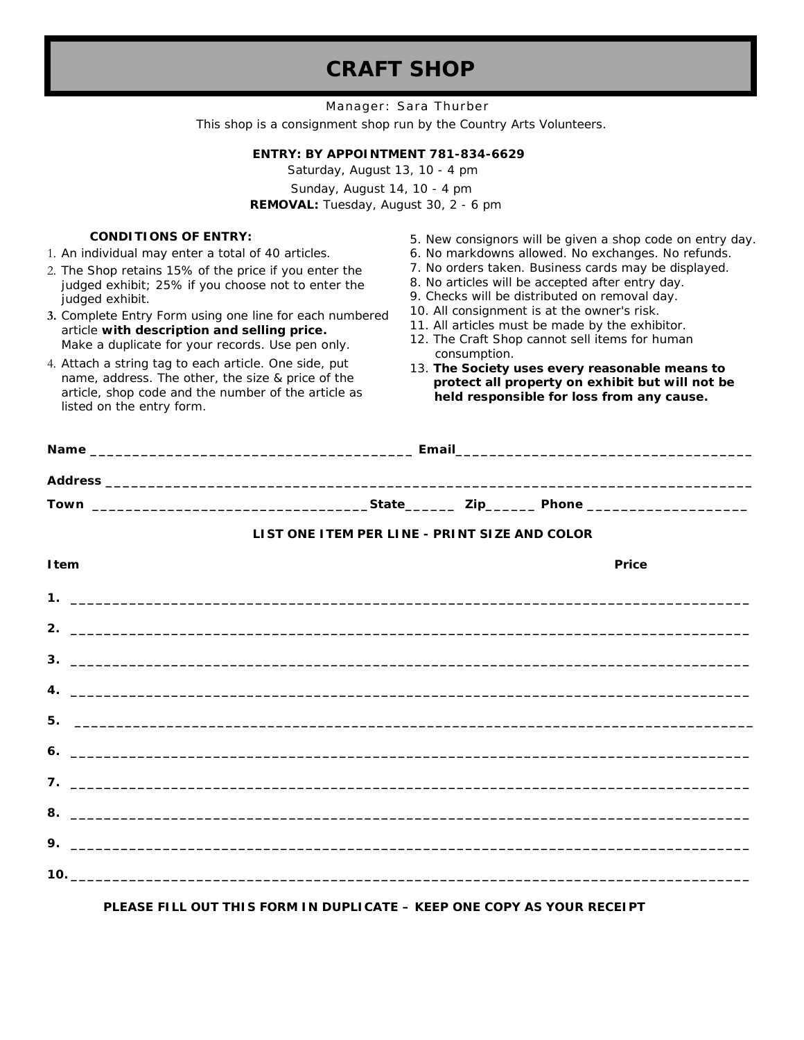# **CRAFT SHOP**

Manager: Sara Thurber This shop is a consignment shop run by the Country Arts Volunteers.

#### **ENTRY:** *BY APPOINTMENT 781-834-6629*

Saturday, August 13, 10 - 4 pm Sunday, August 14, 10 - 4 pm **REMOVAL:** Tuesday, August 30, 2 - 6 pm

#### **CONDITIONS OF ENTRY:**

1. An individual may enter a total of 40 articles.

- 2. The Shop retains 15% of the price if you enter the judged exhibit; 25% if you choose not to enter the judged exhibit.
- **3.** Complete Entry Form using one line for each numbered article **with description and selling price.** Make a duplicate for your records. Use pen only.
- 4. Attach a string tag to each article. One side, put name, address. The other, the size & price of the article, shop code and the number of the article as listed on the entry form.
- 5. New consignors will be given a shop code on entry day.
- 6. No markdowns allowed. No exchanges. No refunds.
- 7. No orders taken. Business cards may be displayed.
- 8. No articles will be accepted after entry day.
- 9. Checks will be distributed on removal day.
- 10. All consignment is at the owner's risk.
- 11. All articles must be made by the exhibitor.
- 12. The Craft Shop cannot sell items for human consumption.
- 13. **The Society uses every reasonable means to protect all property on exhibit but will not be held responsible for loss from any cause.**

|                               |  | LIST ONE ITEM PER LINE - PRINT SIZE AND COLOR |  |  |       |  |  |  |  |
|-------------------------------|--|-----------------------------------------------|--|--|-------|--|--|--|--|
| <b>I</b> tem                  |  |                                               |  |  | Price |  |  |  |  |
|                               |  |                                               |  |  |       |  |  |  |  |
|                               |  |                                               |  |  |       |  |  |  |  |
|                               |  |                                               |  |  |       |  |  |  |  |
|                               |  |                                               |  |  |       |  |  |  |  |
|                               |  |                                               |  |  |       |  |  |  |  |
|                               |  |                                               |  |  |       |  |  |  |  |
|                               |  |                                               |  |  |       |  |  |  |  |
| $8.$ $\overline{\phantom{a}}$ |  |                                               |  |  |       |  |  |  |  |
|                               |  |                                               |  |  |       |  |  |  |  |
|                               |  |                                               |  |  |       |  |  |  |  |
|                               |  |                                               |  |  |       |  |  |  |  |

### **PLEASE FILL OUT THIS FORM IN DUPLICATE – KEEP ONE COPY AS YOUR RECEIPT**